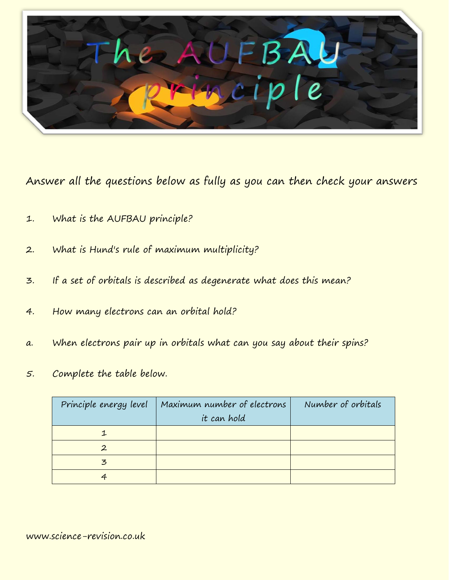

Answer all the questions below as fully as you can then check your answers

- 1. What is the AUFBAU principle?
- 2. What is Hund's rule of maximum multiplicity?
- 3. If a set of orbitals is described as degenerate what does this mean?
- 4. How many electrons can an orbital hold?
- a. When electrons pair up in orbitals what can you say about their spins?
- 5. Complete the table below.

| Principle energy level | Maximum number of electrons | Number of orbitals |
|------------------------|-----------------------------|--------------------|
|                        | it can hold                 |                    |
|                        |                             |                    |
| $\mathbf{2}$           |                             |                    |
| 3                      |                             |                    |
|                        |                             |                    |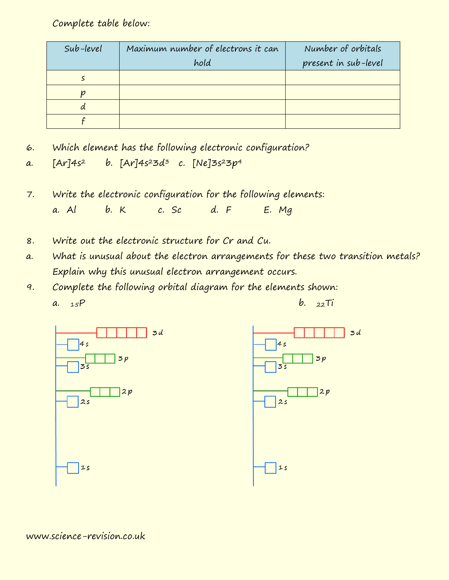Complete table below:

| Sub-level | Maximum number of electrons it can | Number of orbitals   |
|-----------|------------------------------------|----------------------|
|           | hold                               | present in sub-level |
|           |                                    |                      |
|           |                                    |                      |
| α         |                                    |                      |
|           |                                    |                      |

6. Which element has the following electronic configuration?

a.  $[Ar]4s^2$  b.  $[Ar]4s^23d^3$  c.  $[Ne]3s^23p^4$ 

- 7. Write the electronic configuration for the following elements: a. Al b. K c. Sc d. F E. Mg
- 8. Write out the electronic structure for Cr and Cu.
- a. What is unusual about the electron arrangements for these two transition metals? Explain why this unusual electron arrangement occurs.
- 9. Complete the following orbital diagram for the elements shown: a.  $_{15}P$  b.  $_{22}Ti$

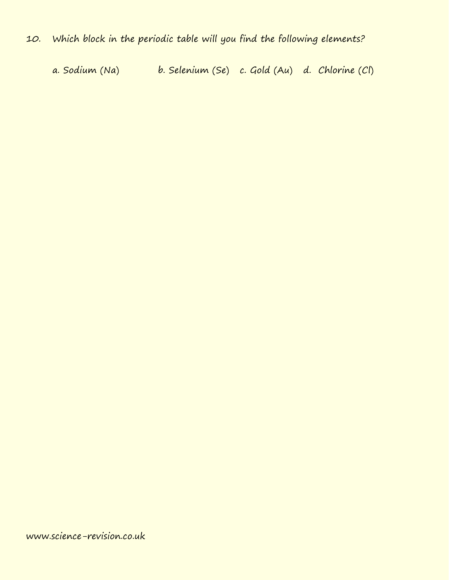a. Sodium (Na) b. Selenium (Se) c. Gold (Au) d. Chlorine (Cl)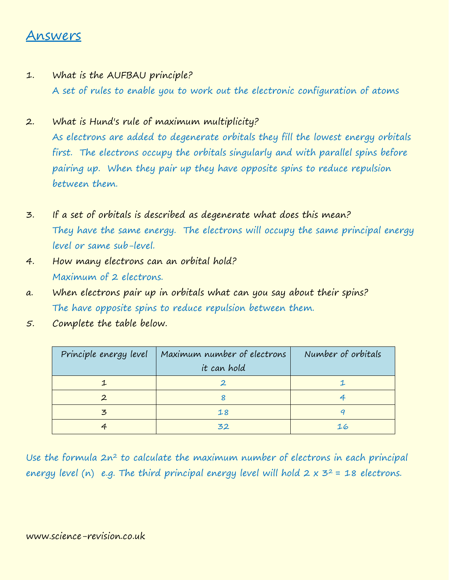## Answers

- 1. What is the AUFBAU principle? A set of rules to enable you to work out the electronic configuration of atoms
- 2. What is Hund's rule of maximum multiplicity? As electrons are added to degenerate orbitals they fill the lowest energy orbitals first. The electrons occupy the orbitals singularly and with parallel spins before pairing up. When they pair up they have opposite spins to reduce repulsion between them.
- 3. If a set of orbitals is described as degenerate what does this mean? They have the same energy. The electrons will occupy the same principal energy level or same sub-level.
- 4. How many electrons can an orbital hold? Maximum of 2 electrons.
- a. When electrons pair up in orbitals what can you say about their spins? The have opposite spins to reduce repulsion between them.
- 5. Complete the table below.

| Principle energy level | Maximum number of electrons | Number of orbitals |
|------------------------|-----------------------------|--------------------|
|                        | it can hold                 |                    |
|                        |                             |                    |
|                        |                             |                    |
| $\mathbf{z}$           | 18                          |                    |
|                        | 32                          |                    |

Use the formula  $2n^2$  to calculate the maximum number of electrons in each principal energy level (n) e.g. The third principal energy level will hold  $2 \times 3^2$  = 18 electrons.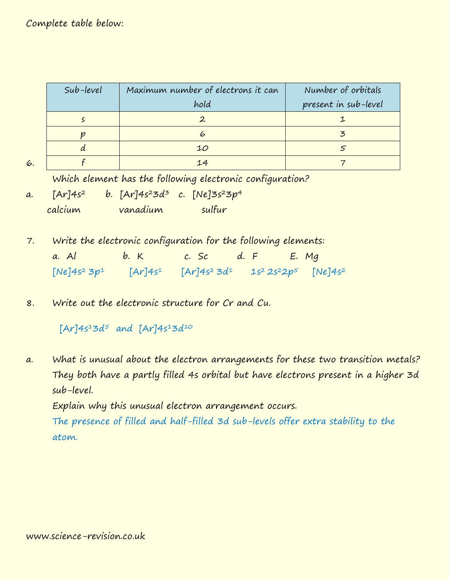## Complete table below:

6.

| Sub-level | Maximum number of electrons it can | Number of orbitals   |
|-----------|------------------------------------|----------------------|
|           | hold                               | present in sub-level |
|           |                                    |                      |
|           | 6                                  |                      |
|           | 10                                 |                      |
|           | 14                                 |                      |

Which element has the following electronic configuration?

- a.  $[Ar]4s^2$  b.  $[Ar]4s^23d^3$  c.  $[Ne]3s^23p^4$ calcium vanadium sulfur
- 7. Write the electronic configuration for the following elements: a. Al  $b. K$  c. Sc  $d. F$  E. Mq  $[Ne]4s^23p^1$  [Ar]4s<sup>1</sup> [Ar]4s<sup>2</sup> 3d<sup>1</sup> 1s<sup>2</sup> 2s<sup>2</sup>2p<sup>5</sup> [Ne]4s<sup>2</sup>
- 8. Write out the electronic structure for Cr and Cu.

 $[Ar]4s^13d^5$  and  $[Ar]4s^13d^{10}$ 

a. What is unusual about the electron arrangements for these two transition metals? They both have a partly filled 4s orbital but have electrons present in a higher 3d sub-level.

Explain why this unusual electron arrangement occurs.

The presence of filled and half-filled 3d sub-levels offer extra stability to the atom.